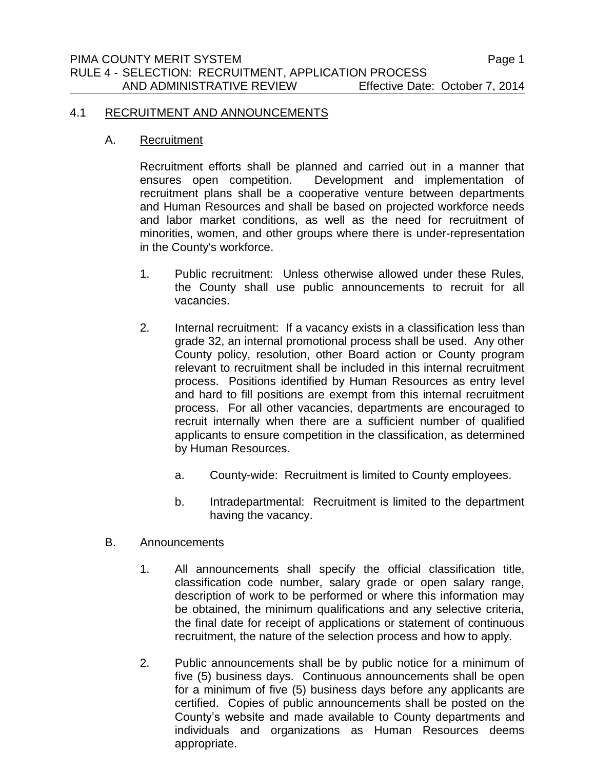## 4.1 RECRUITMENT AND ANNOUNCEMENTS

### A. Recruitment

Recruitment efforts shall be planned and carried out in a manner that ensures open competition. Development and implementation of recruitment plans shall be a cooperative venture between departments and Human Resources and shall be based on projected workforce needs and labor market conditions, as well as the need for recruitment of minorities, women, and other groups where there is under-representation in the County's workforce.

- 1. Public recruitment: Unless otherwise allowed under these Rules, the County shall use public announcements to recruit for all vacancies.
- 2. Internal recruitment: If a vacancy exists in a classification less than grade 32, an internal promotional process shall be used. Any other County policy, resolution, other Board action or County program relevant to recruitment shall be included in this internal recruitment process. Positions identified by Human Resources as entry level and hard to fill positions are exempt from this internal recruitment process. For all other vacancies, departments are encouraged to recruit internally when there are a sufficient number of qualified applicants to ensure competition in the classification, as determined by Human Resources.
	- a. County-wide: Recruitment is limited to County employees.
	- b. Intradepartmental: Recruitment is limited to the department having the vacancy.

## B. Announcements

- 1. All announcements shall specify the official classification title, classification code number, salary grade or open salary range, description of work to be performed or where this information may be obtained, the minimum qualifications and any selective criteria, the final date for receipt of applications or statement of continuous recruitment, the nature of the selection process and how to apply.
- 2. Public announcements shall be by public notice for a minimum of five (5) business days. Continuous announcements shall be open for a minimum of five (5) business days before any applicants are certified. Copies of public announcements shall be posted on the County's website and made available to County departments and individuals and organizations as Human Resources deems appropriate.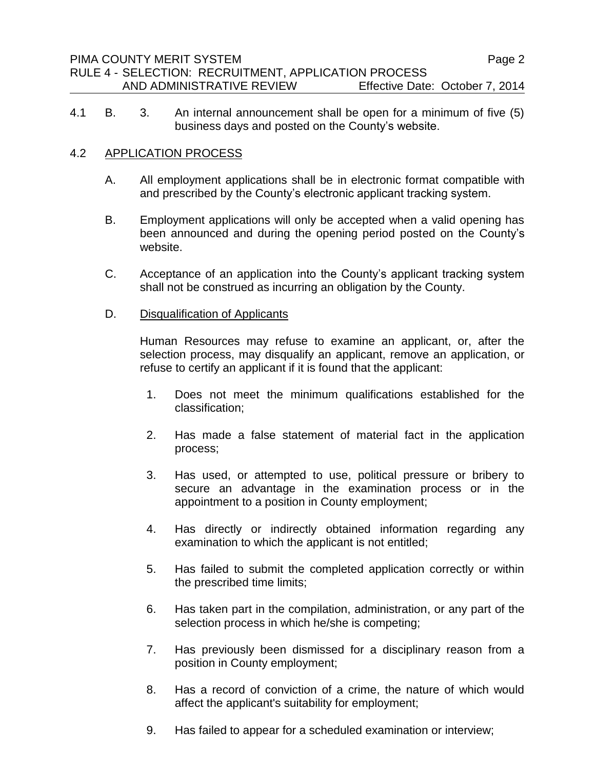4.1 B. 3. An internal announcement shall be open for a minimum of five (5) business days and posted on the County's website.

# 4.2 APPLICATION PROCESS

- A. All employment applications shall be in electronic format compatible with and prescribed by the County's electronic applicant tracking system.
- B. Employment applications will only be accepted when a valid opening has been announced and during the opening period posted on the County's website.
- C. Acceptance of an application into the County's applicant tracking system shall not be construed as incurring an obligation by the County.

## D. Disqualification of Applicants

Human Resources may refuse to examine an applicant, or, after the selection process, may disqualify an applicant, remove an application, or refuse to certify an applicant if it is found that the applicant:

- 1. Does not meet the minimum qualifications established for the classification;
- 2. Has made a false statement of material fact in the application process;
- 3. Has used, or attempted to use, political pressure or bribery to secure an advantage in the examination process or in the appointment to a position in County employment;
- 4. Has directly or indirectly obtained information regarding any examination to which the applicant is not entitled;
- 5. Has failed to submit the completed application correctly or within the prescribed time limits;
- 6. Has taken part in the compilation, administration, or any part of the selection process in which he/she is competing;
- 7. Has previously been dismissed for a disciplinary reason from a position in County employment;
- 8. Has a record of conviction of a crime, the nature of which would affect the applicant's suitability for employment;
- 9. Has failed to appear for a scheduled examination or interview;